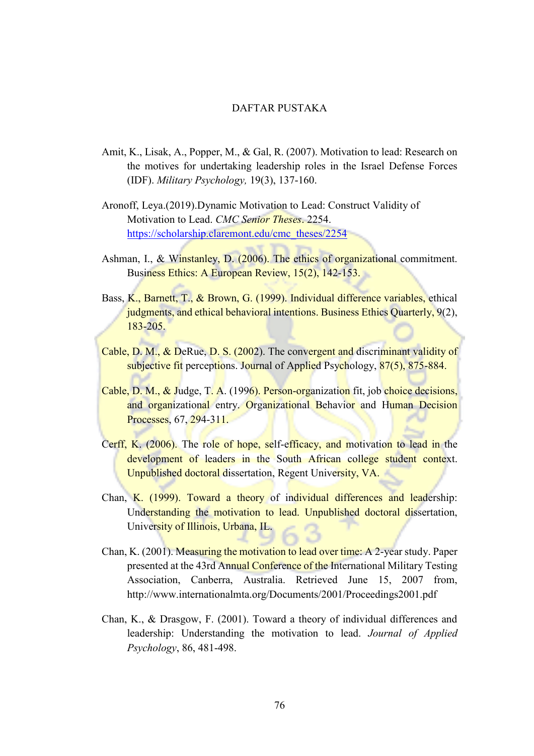## DAFTAR PUSTAKA

- Amit, K., Lisak, A., Popper, M., & Gal, R. (2007). Motivation to lead: Research on the motives for undertaking leadership roles in the Israel Defense Forces (IDF). *Military Psychology,* 19(3), 137-160.
- Aronoff, Leya.(2019).Dynamic Motivation to Lead: Construct Validity of Motivation to Lead. *CMC Senior Theses*. 2254. [https://scholarship.claremont.edu/cmc\\_theses/2254](https://scholarship.claremont.edu/cmc_theses/2254)
- Ashman, I., & Winstanley, D. (2006). The ethics of organizational commitment. Business Ethics: A European Review, 15(2), 142-153.
- Bass, K., Barnett, T., & Brown, G. (1999). Individual difference variables, ethical judgments, and ethical behavioral intentions. Business Ethics Quarterly, 9(2), 183-205.
- Cable, D. M., & DeRue, D. S. (2002). The convergent and discriminant validity of subjective fit perceptions. Journal of Applied Psychology, 87(5), 875-884.
- Cable, D. M., & Judge, T. A. (1996). Person-organization fit, job choice decisions, and organizational entry. Organizational Behavior and Human Decision Processes, 67, 294-311.
- Cerff, K. (2006). The role of hope, self-efficacy, and motivation to lead in the development of leaders in the South African college student context. Unpublished doctoral dissertation, Regent University, VA.
- Chan, K. (1999). Toward a theory of individual differences and leadership: Understanding the motivation to lead. Unpublished doctoral dissertation, University of Illinois, Urbana, IL.
- Chan, K. (2001). Measuring the motivation to lead over time: A 2-year study. Paper presented at the 43rd Annual Conference of the International Military Testing Association, Canberra, Australia. Retrieved June 15, 2007 from, http://www.internationalmta.org/Documents/2001/Proceedings2001.pdf
- Chan, K., & Drasgow, F. (2001). Toward a theory of individual differences and leadership: Understanding the motivation to lead. *Journal of Applied Psychology*, 86, 481-498.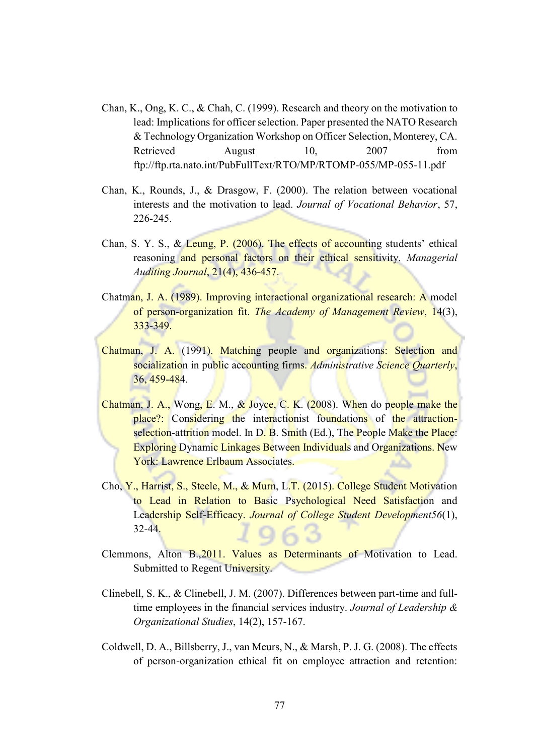- Chan, K., Ong, K. C., & Chah, C. (1999). Research and theory on the motivation to lead: Implications for officer selection. Paper presented the NATO Research & Technology Organization Workshop on Officer Selection, Monterey, CA. Retrieved August 10, 2007 from ftp://ftp.rta.nato.int/PubFullText/RTO/MP/RTOMP-055/MP-055-11.pdf
- Chan, K., Rounds, J., & Drasgow, F. (2000). The relation between vocational interests and the motivation to lead. *Journal of Vocational Behavior*, 57, 226-245.
- Chan, S. Y. S., & Leung, P. (2006). The effects of accounting students' ethical reasoning and personal factors on their ethical sensitivity. *Managerial Auditing Journal*, 21(4), 436-457.
- Chatman, J. A. (1989). Improving interactional organizational research: A model of person-organization fit. *The Academy of Management Review*, 14(3), 333-349.
- Chatman, J. A. (1991). Matching people and organizations: Selection and socialization in public accounting firms. *Administrative Science Quarterly*, 36, 459-484.
- Chatman, J. A., Wong, E. M., & Joyce, C. K. (2008). When do people make the place?: Considering the interactionist foundations of the attractionselection-attrition model. In D. B. Smith (Ed.), The People Make the Place: Exploring Dynamic Linkages Between Individuals and Organizations. New York: Lawrence Erlbaum Associates.
- Cho, Y., Harrist, S., Steele, M., & Murn, L.T. (2015). College Student Motivation to Lead in Relation to Basic Psychological Need Satisfaction and Leadership Self-Efficacy. *Journal of College Student Development56*(1), 32-44.
- Clemmons, Alton B.,2011. Values as Determinants of Motivation to Lead. Submitted to Regent University.
- Clinebell, S. K., & Clinebell, J. M. (2007). Differences between part-time and fulltime employees in the financial services industry. *Journal of Leadership & Organizational Studies*, 14(2), 157-167.
- Coldwell, D. A., Billsberry, J., van Meurs, N., & Marsh, P. J. G. (2008). The effects of person-organization ethical fit on employee attraction and retention: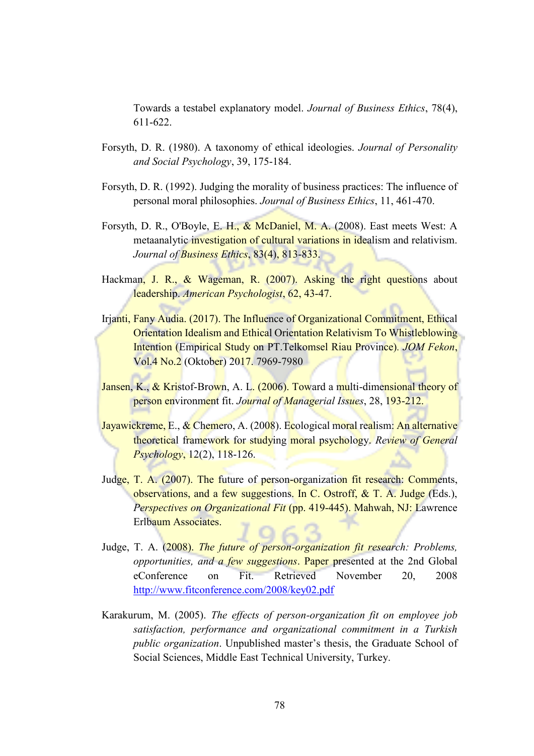Towards a testabel explanatory model. *Journal of Business Ethics*, 78(4), 611-622.

- Forsyth, D. R. (1980). A taxonomy of ethical ideologies. *Journal of Personality and Social Psychology*, 39, 175-184.
- Forsyth, D. R. (1992). Judging the morality of business practices: The influence of personal moral philosophies. *Journal of Business Ethics*, 11, 461-470.
- Forsyth, D. R., O'Boyle, E. H., & McDaniel, M. A. (2008). East meets West: A metaanalytic investigation of cultural variations in idealism and relativism. *Journal of Business Ethics*, 83(4), 813-833.
- Hackman, J. R., & Wageman, R. (2007). Asking the right questions about leadership. *American Psychologist*, 62, 43-47.
- Irjanti, Fany Audia. (2017). The Influence of Organizational Commitment, Ethical Orientation Idealism and Ethical Orientation Relativism To Whistleblowing Intention (Empirical Study on PT.Telkomsel Riau Province)*. JOM Fekon*, Vol.4 No.2 (Oktober) 2017. 7969-7980
- Jansen, K., & Kristof-Brown, A. L. (2006). Toward a multi-dimensional theory of person environment fit. *Journal of Managerial Issues*, 28, 193-212.
- Jayawickreme, E., & Chemero, A. (2008). Ecological moral realism: An alternative theoretical framework for studying moral psychology. *Review of General Psychology*, 12(2), 118-126.
- Judge, T. A. (2007). The future of person-organization fit research: Comments, observations, and a few suggestions. In C. Ostroff, & T. A. Judge (Eds.), *Perspectives on Organizational Fit* (pp. 419-445). Mahwah, NJ: Lawrence Erlbaum Associates.
- Judge, T. A. (2008). *The future of person-organization fit research: Problems, opportunities, and a few suggestions*. Paper presented at the 2nd Global eConference on Fit. Retrieved November 20, 2008 <http://www.fitconference.com/2008/key02.pdf>
- Karakurum, M. (2005). *The effects of person-organization fit on employee job satisfaction, performance and organizational commitment in a Turkish public organization*. Unpublished master's thesis, the Graduate School of Social Sciences, Middle East Technical University, Turkey.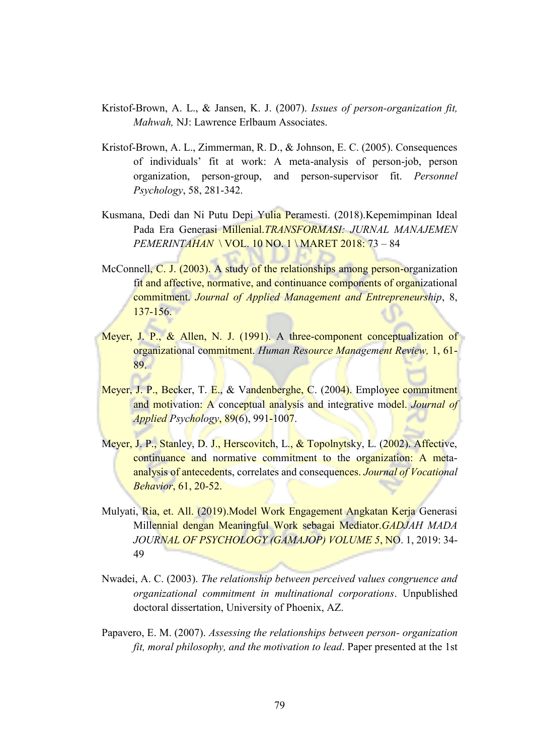- Kristof-Brown, A. L., & Jansen, K. J. (2007). *Issues of person-organization fit, Mahwah,* NJ: Lawrence Erlbaum Associates.
- Kristof-Brown, A. L., Zimmerman, R. D., & Johnson, E. C. (2005). Consequences of individuals' fit at work: A meta-analysis of person-job, person organization, person-group, and person-supervisor fit. *Personnel Psychology*, 58, 281-342.
- Kusmana, Dedi dan Ni Putu Depi Yulia Peramesti. (2018). Kepemimpinan Ideal Pada Era Generasi Millenial.*TRANSFORMASI: JURNAL MANAJEMEN PEMERINTAHAN* \ VOL. 10 NO. 1 \ MARET 2018: 73 – 84
- McConnell, C. J. (2003). A study of the relationships among person-organization fit and affective, normative, and continuance components of organizational commitment. *Journal of Applied Management and Entrepreneurship*, 8, 137-156.
- Meyer, J. P., & Allen, N. J. (1991). A three-component conceptualization of organizational commitment. *Human Resource Management Review,* 1, 61- 89.
- Meyer, J. P., Becker, T. E., & Vandenberghe, C. (2004). Employee commitment and motivation: A conceptual analysis and integrative model. *Journal of Applied Psychology*, 89(6), 991-1007.
- Meyer, J. P., Stanley, D. J., Herscovitch, L., & Topolnytsky, L. (2002). Affective, continuance and normative commitment to the organization: A metaanalysis of antecedents, correlates and consequences. *Journal of Vocational Behavior*, 61, 20-52.
- Mulyati, Ria, et. All. (2019). Model Work Engagement Angkatan Kerja Generasi Millennial dengan Meaningful Work sebagai Mediator.*GADJAH MADA JOURNAL OF PSYCHOLOGY (GAMAJOP) VOLUME 5*, NO. 1, 2019: 34- 49
- Nwadei, A. C. (2003). *The relationship between perceived values congruence and organizational commitment in multinational corporations*. Unpublished doctoral dissertation, University of Phoenix, AZ.
- Papavero, E. M. (2007). *Assessing the relationships between person- organization fit, moral philosophy, and the motivation to lead*. Paper presented at the 1st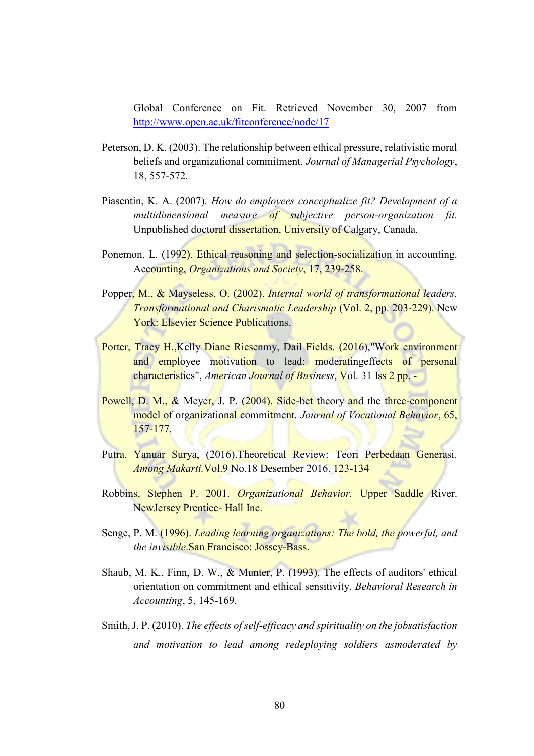Global Conference on Fit. Retrieved November 30, 2007 from <http://www.open.ac.uk/fitconference/node/17>

- Peterson, D. K. (2003). The relationship between ethical pressure, relativistic moral beliefs and organizational commitment. *Journal of Managerial Psychology*, 18, 557-572.
- Piasentin, K. A. (2007). *How do employees conceptualize fit? Development of a multidimensional measure of subjective person-organization fit.* Unpublished doctoral dissertation, University of Calgary, Canada.
- Ponemon, L. (1992). Ethical reasoning and selection-socialization in accounting. Accounting, *Organizations and Society*, 17, 239-258.
- Popper, M., & Mayseless, O. (2002). *Internal world of transformational leaders. Transformational and Charismatic Leadership (Vol. 2, pp. 203-229).* New York: Elsevier Science Publications.
- Porter, Tracy H.,Kelly Diane Riesenmy, Dail Fields. (2016),"Work environment and employee motivation to lead: moderatingeffects of personal characteristics", *American Journal of Business*, Vol. 31 Iss 2 pp. -
- Powell, D. M., & Meyer, J. P. (2004). Side-bet theory and the three-component model of organizational commitment. *Journal of Vocational Behavior*, 65, 157-177.
- Putra, Yanuar Surya, (2016). Theoretical Review: Teori Perbedaan Generasi. *Among Makarti.*Vol.9 No.18 Desember 2016. 123-134
- Robbins, Stephen P. 2001. *Organizational Behavior.* Upper Saddle River. NewJersey Prentice- Hall Inc.
- Senge, P. M. (1996). *Leading learning organizations: The bold, the powerful, and the invisible*.San Francisco: Jossey-Bass.
- Shaub, M. K., Finn, D. W., & Munter, P. (1993). The effects of auditors' ethical orientation on commitment and ethical sensitivity. *Behavioral Research in Accounting*, 5, 145-169.
- Smith, J. P. (2010). *The effects of self-efficacy and spirituality on the jobsatisfaction and motivation to lead among redeploying soldiers asmoderated by*